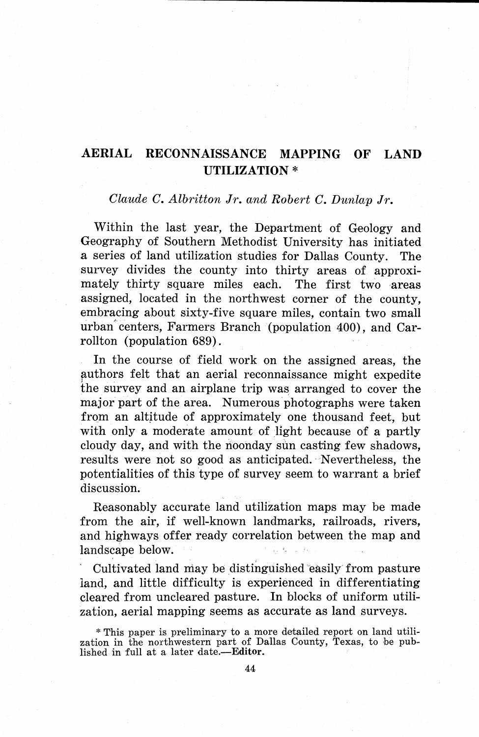## **AERIAL RECONNAISSANCE MAPPING OF LAND UTILIZATION\***

## *Claude C. Albritton Jr. and Robert C. Dunlap Jr.*

Within the last year, the Department of Geology and Geography of Southern Methodist University has initiated a series of land utilization studies for Dallas County. The survey divides the county into thirty areas of approximately thirty square miles each. The first two areas assigned, located in the northwest corner of the county, embracing about sixty-five square miles, contain two small urban''centers, Farmers Branch (population 400), and Carrollton (population 689).

In the course of field work on the assigned areas, the authors felt that an aerial reconnaissance might expedite the survey and an airplane trip was, arranged to cover the major part of the area. Numerous photographs were taken from an altitude of approximately one thousand feet, but with only a moderate amount of light because of a partly cloudy day, and with the noonday sun casting few shadows, results were not so good as anticipated. ·Nevertheless, the potentialities of this type of survey seem to warrant a brief discussion.

Reasonably accurate land utilization maps may be made from the air, if well-known landmarks, railroads, rivers, and highways offer ready correlation between the map and landscape below.

Cultivated land may be distinguished easily from pasture land, and little difficulty is experienced in differentiating cleared from uncleared pasture. In blocks of uniform utilization, aerial mapping seems as accurate as land surveys.

\* This paper is preliminary to a more detailed report on land utilization in the northwestern part of Dallas County, Texas, to be pub-<br>lished in full at a later date.-Editor.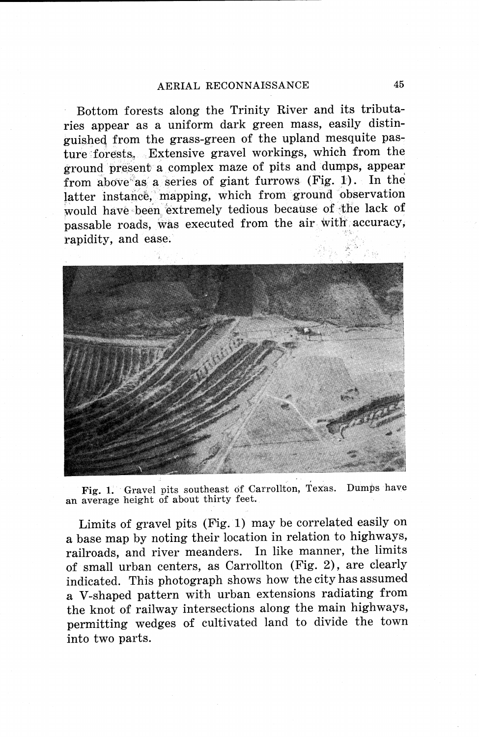## AERIAL RECONNAISSANCE

Bottom forests along the Trinity River and its tributaries appear as a uniform dark green mass, easily distinguished from the grass-green of the upland mesquite pasture forests. Extensive gravel workings, which from the ground present a complex maze of pits and dumps, appear from above as a series of giant furrows (Fig. 1). In the latter instance, mapping, which from ground observation would have been extremely tedious because of the lack of passable roads, was executed from the air with accuracy. rapidity, and ease.



Fig. 1. Gravel pits southeast of Carrollton, Texas. Dumps have an average height of about thirty feet.

Limits of gravel pits (Fig. 1) may be correlated easily on a base map by noting their location in relation to highways, railroads, and river meanders. In like manner, the limits of small urban centers, as Carrollton (Fig. 2), are clearly indicated. This photograph shows how the city has assumed a V-shaped pattern with urban extensions radiating from the knot of railway intersections along the main highways, permitting wedges of cultivated land to divide the town into two parts.